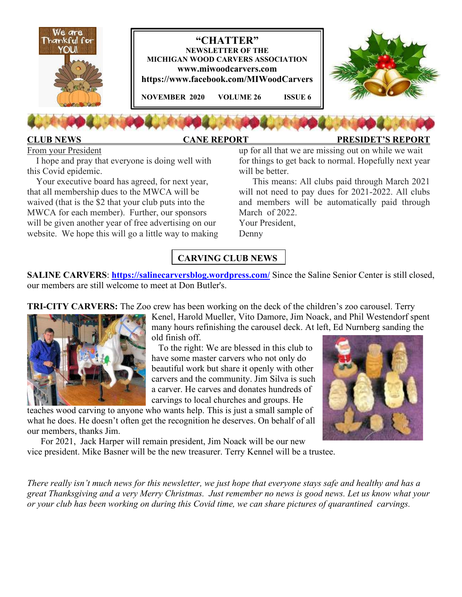

## **CLUB NEWS CANE REPORT PRESIDET'S REPORT**

From your President

 I hope and pray that everyone is doing well with this Covid epidemic.

 Your executive board has agreed, for next year, that all membership dues to the MWCA will be waived (that is the \$2 that your club puts into the MWCA for each member). Further, our sponsors will be given another year of free advertising on our website. We hope this will go a little way to making up for all that we are missing out on while we wait for things to get back to normal. Hopefully next year will be better.

 This means: All clubs paid through March 2021 will not need to pay dues for 2021-2022. All clubs and members will be automatically paid through March of 2022.

Your President, Denny

# **CARVING CLUB NEWS**

**SALINE CARVERS: https://salinecarversblog.wordpress.com/ Since the Saline Senior Center is still closed,** our members are still welcome to meet at Don Butler's.

**TRI-CITY CARVERS:** The Zoo crew has been working on the deck of the children's zoo carousel. Terry



Kenel, Harold Mueller, Vito Damore, Jim Noack, and Phil Westendorf spent many hours refinishing the carousel deck. At left, Ed Nurnberg sanding the old finish off.

 To the right: We are blessed in this club to have some master carvers who not only do beautiful work but share it openly with other carvers and the community. Jim Silva is such a carver. He carves and donates hundreds of carvings to local churches and groups. He

teaches wood carving to anyone who wants help. This is just a small sample of what he does. He doesn't often get the recognition he deserves. On behalf of all our members, thanks Jim.

 For 2021, Jack Harper will remain president, Jim Noack will be our new vice president. Mike Basner will be the new treasurer. Terry Kennel will be a trustee.



*There really isn't much news for this newsletter, we just hope that everyone stays safe and healthy and has a great Thanksgiving and a very Merry Christmas. Just remember no news is good news. Let us know what your or your club has been working on during this Covid time, we can share pictures of quarantined carvings.*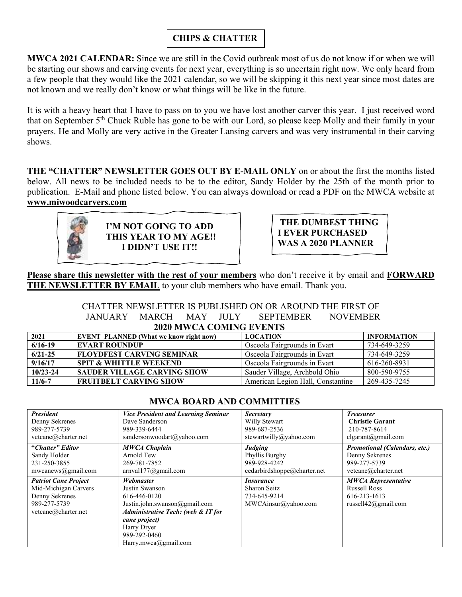# **CHIPS & CHATTER**

**MWCA 2021 CALENDAR:** Since we are still in the Covid outbreak most of us do not know if or when we will be starting our shows and carving events for next year, everything is so uncertain right now. We only heard from a few people that they would like the 2021 calendar, so we will be skipping it this next year since most dates are not known and we really don't know or what things will be like in the future.

It is with a heavy heart that I have to pass on to you we have lost another carver this year. I just received word that on September 5th Chuck Ruble has gone to be with our Lord, so please keep Molly and their family in your prayers. He and Molly are very active in the Greater Lansing carvers and was very instrumental in their carving shows.

**THE "CHATTER" NEWSLETTER GOES OUT BY E-MAIL ONLY** on or about the first the months listed below. All news to be included needs to be to the editor, Sandy Holder by the 25th of the month prior to publication. E-Mail and phone listed below. You can always download or read a PDF on the MWCA website at **www.miwoodcarvers.com**



**I'M NOT GOING TO ADD THIS YEAR TO MY AGE!! I DIDN'T USE IT!!** 

 **THE DUMBEST THING I EVER PURCHASED WAS A 2020 PLANNER** 

**Please share this newsletter with the rest of your members** who don't receive it by email and **FORWARD THE NEWSLETTER BY EMAIL** to your club members who have email. Thank you.

### CHATTER NEWSLETTER IS PUBLISHED ON OR AROUND THE FIRST OF JANUARY MARCH MAY JULY SEPTEMBER NOVEMBER **2020 MWCA COMING EVENTS**

| $\overline{ }$ |                                               |                                   |                    |  |  |  |  |  |
|----------------|-----------------------------------------------|-----------------------------------|--------------------|--|--|--|--|--|
| 2021           | <b>EVENT PLANNED (What we know right now)</b> | <b>LOCATION</b>                   | <b>INFORMATION</b> |  |  |  |  |  |
| $6/16 - 19$    | <b>EVART ROUNDUP</b>                          | Osceola Fairgrounds in Evart      | 734-649-3259       |  |  |  |  |  |
| $6/21 - 25$    | <b>FLOYDFEST CARVING SEMINAR</b>              | Osceola Fairgrounds in Evart      | 734-649-3259       |  |  |  |  |  |
| 9/16/17        | <b>SPIT &amp; WHITTLE WEEKEND</b>             | Osceola Fairgrounds in Evart      | 616-260-8931       |  |  |  |  |  |
| $10/23 - 24$   | <b>SAUDER VILLAGE CARVING SHOW</b>            | Sauder Village, Archbold Ohio     | 800-590-9755       |  |  |  |  |  |
| 11/6-7         | <b>FRUITBELT CARVING SHOW</b>                 | American Legion Hall, Constantine | 269-435-7245       |  |  |  |  |  |

| <b>President</b>            | <b>Vice President and Learning Seminar</b>    | <b>Secretary</b>            | <b>Treasurer</b>                     |
|-----------------------------|-----------------------------------------------|-----------------------------|--------------------------------------|
| Denny Sekrenes              | Dave Sanderson                                | Willy Stewart               | <b>Christie Garant</b>               |
| 989-277-5739                | 989-339-6444                                  | 989-687-2536                | 210-787-8614                         |
| vetcane@charter.net         | sandersonwoodart@yahoo.com                    | stewartwilly@yahoo.com      | $clgarant(\omega$ gmail.com          |
| "Chatter" Editor            | <b>MWCA Chaplain</b>                          | <b>Judging</b>              | <b>Promotional (Calendars, etc.)</b> |
| Sandy Holder                | Arnold Tew                                    | Phyllis Burghy              | Denny Sekrenes                       |
| 231-250-3855                | 269-781-7852                                  | 989-928-4242                | 989-277-5739                         |
| mwcanews@gmail.com          | arnval177@gmail.com                           | cedarbirdshoppe@charter.net | vetcane@charter.net                  |
| <b>Patriot Cane Project</b> | Webmaster                                     | <i>Insurance</i>            | <b>MWCA Representative</b>           |
| Mid-Michigan Carvers        | Justin Swanson                                | Sharon Seitz                | <b>Russell Ross</b>                  |
| Denny Sekrenes              | 616-446-0120                                  | 734-645-9214                | 616-213-1613                         |
| 989-277-5739                | Justin.john.swanson@gmail.com                 | MWCAinsur@yahoo.com         | russell $42$ @gmail.com              |
| vetcane@charter.net         | <b>Administrative Tech: (web &amp; IT for</b> |                             |                                      |
|                             | cane project)                                 |                             |                                      |
|                             | Harry Dryer                                   |                             |                                      |
|                             | 989-292-0460                                  |                             |                                      |
|                             | Harry.mwca@gmail.com                          |                             |                                      |

### **MWCA BOARD AND COMMITTIES**